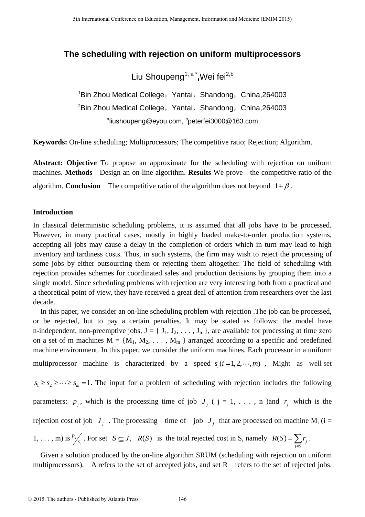## **The scheduling with rejection on uniform multiprocessors**

Liu Shoupeng<sup>1, a</sup> \*,Wei fei<sup>2,b</sup>

 $1$ Bin Zhou Medical College, Yantai, Shandong, China, 264003  ${}^{2}$ Bin Zhou Medical College, Yantai, Shandong, China,264003 <sup>a</sup>liushoupeng@eyou.com, <sup>b</sup>peterfei3000@163.com

**Keywords:** On-line scheduling; Multiprocessors; The competitive ratio; Rejection; Algorithm.

**Abstract: Objective** To propose an approximate for the scheduling with rejection on uniform machines. **Methods** Design an on-line algorithm. **Results** We prove the competitive ratio of the algorithm. **Conclusion** The competitive ratio of the algorithm does not beyond  $1+\beta$ .

### **Introduction**

In classical deterministic scheduling problems, it is assumed that all jobs have to be processed. However, in many practical cases, mostly in highly loaded make-to-order production systems, accepting all jobs may cause a delay in the completion of orders which in turn may lead to high inventory and tardiness costs. Thus, in such systems, the firm may wish to reject the processing of some jobs by either outsourcing them or rejecting them altogether. The field of scheduling with rejection provides schemes for coordinated sales and production decisions by grouping them into a single model. Since scheduling problems with rejection are very interesting both from a practical and a theoretical point of view, they have received a great deal of attention from researchers over the last decade.

In this paper, we consider an on-line scheduling problem with rejection .The job can be processed, or be rejected, but to pay a certain penalties. It may be stated as follows: the model have n-independent, non-preemptive jobs,  $J = \{J_1, J_2, \ldots, J_n\}$ , are available for processing at time zero on a set of m machines  $M = \{M_1, M_2, \ldots, M_m\}$  arranged according to a specific and predefined machine environment. In this paper, we consider the uniform machines. Each processor in a uniform multiprocessor machine is characterized by a speed  $s_i$  ( $i = 1, 2, \dots, m$ ), Might as well set  $s_1 \geq s_2 \geq \cdots \geq s_m = 1$ . The input for a problem of scheduling with rejection includes the following parameters:  $p_j$ , which is the processing time of job  $J_j$  ( j = 1, ..., n )and  $r_j$  which is the rejection cost of job  $J_j$ . The processing time of job  $J_j$  that are processed on machine M<sub>i</sub> (i =  $1, \ldots, m$ ) is <sup> $P_j$ </sup> *i p* For set  $S \subseteq J$ ,  $R(S)$  is the total rejected cost in S, namely  $R(S) = \sum r_j$ *j S*  $R(S) = \sum r$  $=\sum_{j\in S}r_j$ .

Given a solution produced by the on-line algorithm SRUM (scheduling with rejection on uniform multiprocessors), A refers to the set of accepted jobs, and set R refers to the set of rejected jobs.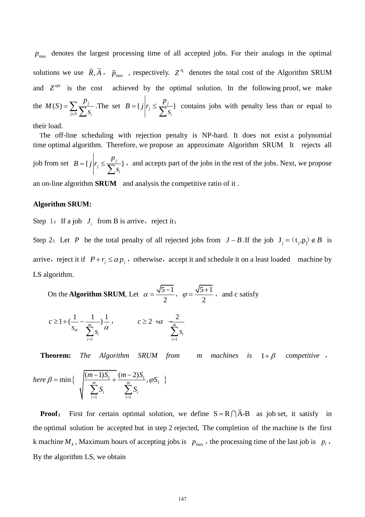max *p* denotes the largest processing time of all accepted jobs. For their analogs in the optimal solutions we use  $\overline{R}, \overline{A}$ ,  $\overline{p}_{max}$ , respectively.  $Z^{A_1}$  denotes the total cost of the Algorithm SRUM and  $Z^{opt}$ achieved by the optimal solution. In the following proof, we make the  $M(S) = \sum_{i} \frac{P_i}{\sum_{i}}$  $j \in S$   $\sum S_i$  $M(S) = \sum \frac{p}{\sum}$  $=\sum_{j\in S}\frac{P_j}{\sum s_i}$ . The set  $B = \{j \mid r_j \leq \frac{P_j}{\sum s_i}\}$ *i*  $B = \{ j | r_i \leq \frac{p}{\sqrt{n}} \}$  $= \{j \mid r_j \leq \frac{P_j}{\sum s_i} \}$  contains jobs with penalty less than or equal to

their load.

The off-line scheduling with rejection penalty is NP-hard. It does not exist a polynomial time optimal algorithm. Therefore, we propose an approximate Algorithm SRUM. It rejects all job from set  $B = \{ j | r_j \leq \frac{P_j}{\sum_{i=1}^{n_j} } \}$ *i*  $B = \{ j | r_i \leq \frac{p}{\sqrt{n}} \}$  $= \{j \mid r_j \leq \frac{P_j}{\sum s_i} \}$ , and accepts part of the jobs in the rest of the jobs. Next, we propose an on-line algorithm **SRUM** and analysis the competitive ratio of it .

# **Algorithm SRUM:**

Step 1: If a job  $J_i$  from B is arrive, reject it;

Step 2: Let P be the total penalty of all rejected jobs from  $J - B$ . If the job  $J_j = (t_j, p_j) \notin B$  is arrive, reject it if  $P + r_j \le \alpha p_j$ , otherwise, accept it and schedule it on a least loaded machine by LS algorithm.

On the Algorithm SRUM, Let 
$$
\alpha = \frac{\sqrt{5-1}}{2}
$$
,  $\varphi = \frac{\sqrt{5+1}}{2}$ , and c satisfy

$$
c \ge 1 + \left(\frac{1}{s_m} - \frac{1}{\sum_{i=1}^m s_i}\right) \frac{1}{\alpha}, \qquad c \ge 2 + \alpha \frac{2}{\sum_{i=1}^m s_i}
$$

**Theorem:** *The Algorithm SRUM from*  $1 + \beta$  competitive,

here 
$$
\beta = \min \left\{ \sqrt{\frac{(m-1)S_1}{\sum_{i=1}^{m} S_i} + \frac{(m-2)S_1}{\sum_{i=1}^{m} S_i}}, \varphi S_1 \right\}
$$

**Proof:** First for certain optimal solution, we define  $S = R \cap \overline{A} - B$  as job set, it satisfy in the optimal solution be accepted but in step 2 rejected, The completion of the machine is the first k machine  $M_k$ , Maximum hours of accepting jobs is  $p_{\text{max}}$ , the processing time of the last job is  $p_l$ , By the algorithm LS, we obtain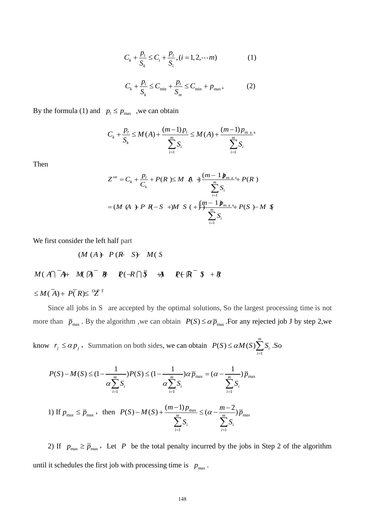$$
C_{k} + \frac{p_{l}}{S_{k}} \le C_{i} + \frac{p_{l}}{S_{i}}, (i = 1, 2, \cdots m)
$$
 (1)

$$
C_{k} + \frac{p_{l}}{S_{k}} \le C_{\min} + \frac{p_{l}}{S_{m}} \le C_{\min} + p_{\max},
$$
 (2)

By the formula (1) and  $p_l \leq p_{\text{max}}$ , we can obtain

$$
P_l \ge P_{\text{max}} \text{ , we can obtain}
$$
  

$$
C_k + \frac{p_l}{S_k} \le M(A) + \frac{(m-1)p_l}{\sum_{i=1}^m S_i} \le M(A) + \frac{(m-1)p_{\text{max}}}{\sum_{i=1}^m S_i}
$$

Then

$$
Z^{on} = C_{k} + \frac{p_{l}}{C_{k}} + P(R) \leq M \quad A + \frac{(m-1) p_{m} \Delta x_{l}}{\sum_{i=1}^{m} S_{i}}
$$
  
=  $(M \ (A) + P \ R - S \ +)M \ S \ (+) + \frac{(m-1) p_{m} \Delta x_{l}}{\sum_{i=1}^{m} S_{i}}$ 

We first consider the left half part

$$
(M (A) P (R S) M (S
$$
  

$$
M (A) A + M (A R R (R S) M (S
$$
  

$$
\leq M (A) + P (R) \leq 2^{r}
$$

 $(M (A) + P (R S) + M (S)$ 

Since all jobs in S are accepted by the optimal solutions, So the largest processing time is not more than  $\bar{p}_{\text{max}}$ . By the algorithm, we can obtain  $P(S) \le \alpha \bar{p}_{\text{max}}$ . For any rejected job J by step 2,we

know  $r_j \leq \alpha p_j$ , Summation on both sides, we can obtain 1  $g(S) \leq \alpha M(S) \sum^{m}$ *i i*  $P(S) \le \alpha M(S) \sum_{i=1}^{m} S_i$  $\leq \alpha M(S) \sum_{i=1} S_i$ .So

$$
v \quad r_j \le \alpha p_j, \text{ Summation on both sides, we can obtain } P(S) \le \alpha M(S) \sum_{i=1}^{\infty} S_i. \text{S}
$$
\n
$$
P(S) - M(S) \le (1 - \frac{1}{\alpha \sum_{i=1}^m S_i}) P(S) \le (1 - \frac{1}{\alpha \sum_{i=1}^m S_i}) \alpha \overline{p}_{\text{max}} = (\alpha - \frac{1}{\sum_{i=1}^m S_i}) \overline{p}_{\text{max}}
$$
\n
$$
1) \text{ If } p_{\text{max}} \le \overline{p}_{\text{max}}, \text{ then } P(S) - M(S) + \frac{(m-1)p_{\text{max}}}{\sum_{i=1}^m S_i} \le (\alpha - \frac{m-2}{\sum_{i=1}^m S_i}) \overline{p}_{\text{max}}
$$

2) If  $p_{\text{max}} \ge \overline{p}_{\text{max}}$ , Let P be the total penalty incurred by the jobs in Step 2 of the algorithm until it schedules the first job with processing time is  $p_{\text{max}}$ .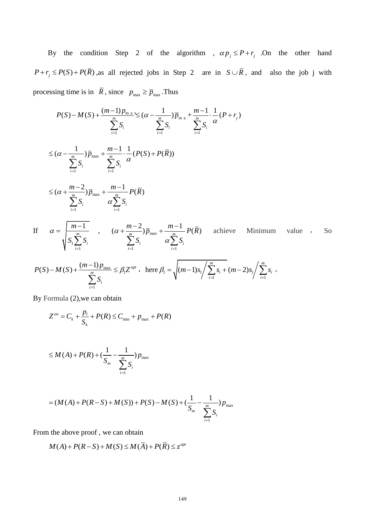By the condition Step 2 of the algorithm ,  $\alpha p_j \leq P + r_j$  . On the other hand  $P + r_j \leq P(S) + P(\overline{R})$ , as all rejected jobs in Step 2 are in  $S \cup \overline{R}$ , and also the job j with processing time is in  $\overline{R}$ , since  $p_{\text{max}} \ge \overline{p}_{\text{max}}$ . Thus

$$
P(S) - M(S) + \frac{(m-1)p_{\max}}{\sum_{i=1}^{m} S_i} \leq (\alpha - \frac{1}{\sum_{i=1}^{m} S_i}) \overline{p}_{\max} + \frac{m-1}{\sum_{i=1}^{m} S_i} \cdot \frac{1}{\alpha} (P+r_j)
$$
  

$$
\leq (\alpha - \frac{1}{\sum_{i=1}^{m} S_i}) \overline{p}_{\max} + \frac{m-1}{\sum_{i=1}^{m} S_i} \cdot \frac{1}{\alpha} (P(S) + P(\overline{R}))
$$
  

$$
\leq (\alpha + \frac{m-2}{\sum_{i=1}^{m} S_i}) \overline{p}_{\max} + \frac{m-1}{\alpha \sum_{i=1}^{m} S_i} P(\overline{R})
$$

If 
$$
\alpha = \sqrt{\frac{m-1}{S_1 \sum_{i=1}^{m} S_i}}
$$
,  $(\alpha + \frac{m-2}{\sum_{i=1}^{m} S_i}) \overline{p}_{\text{max}} + \frac{m-1}{\alpha \sum_{i=1}^{m} S_i} P(\overline{R})$  achieve Minimum value , So  
 $P(S) - M(S) + \frac{(m-1)p_{\text{max}}}{\sum_{i=1}^{m} S_i} \le \beta_1 Z^{opt}$ , here  $\beta_1 = \sqrt{(m-1)S_1} \Big/ \sum_{i=1}^{m} S_i + (m-2)S_1 \Big/ \sum_{i=1}^{m} S_i$ .

$$
P(S) - M(S) + \frac{(m-1)P_{\text{max}}}{\sum_{i=1}^{m} S_i} \le \beta_1 Z^{opt} , \text{ here } \beta_1 = \sqrt{(m-1)s_1 / \sum_{i=1}^{m} s_i + (m-2)s_1 / \sum_{i=1}^{m} s_i}
$$

By Formula (2),we can obtain

$$
Z^{on} = C_k + \frac{p_l}{S_k} + P(R) \le C_{\min} + p_{\max} + P(R)
$$

$$
\leq M(A) + P(R) + (\frac{1}{S_m} - \frac{1}{\sum_{i=1}^{m} S_i})p_{\max}
$$

$$
= (M(A) + P(R - S) + M(S)) + P(S) - M(S) + (\frac{1}{S_m} - \frac{1}{\sum_{i=1}^{m} S_i})p_{\text{max}}
$$

From the above proof, we can obtain  
\n
$$
M(A) + P(R - S) + M(S) \le M(\overline{A}) + P(\overline{R}) \le z^{opt}
$$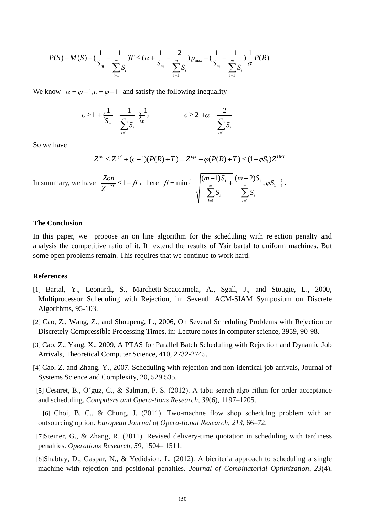$$
P(S) - M(S) + (\frac{1}{S_m} - \frac{1}{\sum_{i=1}^{m} S_i})T \leq (\alpha + \frac{1}{S_m} - \frac{2}{\sum_{i=1}^{m} S_i})\overline{p}_{\max} + (\frac{1}{S_m} - \frac{1}{\sum_{i=1}^{m} S_i})\frac{1}{\alpha}P(\overline{R})
$$

We know  $\alpha = \varphi - 1, c = \varphi + 1$  and satisfy the following inequality

$$
c \ge 1 + \frac{1}{S_m} \frac{1}{\sum_{i=1}^m S_i} + \frac{1}{\alpha}, \qquad c \ge 2 + \alpha \frac{2}{\sum_{i=1}^m S_i}
$$

So we have

$$
Z^{on} \le Z^{opt} + (c-1)(P(\overline{R}) + \overline{T}) = Z^{opt} + \varphi(P(\overline{R}) + \overline{T}) \le (1 + \phi S_1)Z^{OPT}
$$

.

In summary, we have  $\frac{Zon}{Z^{OPT}} \leq 1$ *Z*  $\leq 1 + \beta$ , here  $\beta = \min \left\{ \frac{(m-1)S_1}{m} + \frac{(m-2)S_1}{m}, \varphi S_1 \right\}$  $\sum_{i=1}^{j} S_i$   $\sum_{i=1}^{j}$  $\min\left\{\n\frac{\left(m-1\right)S_1}{\frac{m}{m}} + \frac{\left(m-2\right)S_1}{\frac{m}{m}},\n\right\}$ *i*  $\sum_{i}^{n} S_i$  $\sum_{i=1}^{j} S_i$  *i*  $\frac{m-1)S_1}{m} + \frac{(m-2)S_1}{m}$ ,  $\varphi S$  $\frac{S_{i}}{S_{i}} + \frac{(m-2)}{S_{i}}$  $\beta = \min \left\{ \frac{\left(m-1\right)S_1}{\frac{m}{m}} + \frac{\left(m-2\right)S_1}{\frac{m}{m}}, \varphi S_1 \right\}.$  $\sum_{i=1}^{n} S_i$   $\sum_{i=1}^{n} S_i$ = min { $\sqrt{\frac{(m-1)S_1}{\sum_{i=1}^m S_i} + \frac{(m-2)S_1}{\sum_{i=1}^m S_i}}, \varphi.$ 

### **The Conclusion**

In this paper, we propose an on line algorithm for the scheduling with rejection penalty and analysis the competitive ratio of it. It extend the results of Yair bartal to uniform machines. But some open problems remain. This requires that we continue to work hard.

### **References**

- [1] Bartal, Y., Leonardi, S., Marchetti-Spaccamela, A., Sgall, J., and Stougie, L., 2000, Multiprocessor Scheduling with Rejection, in: Seventh ACM-SIAM Symposium on Discrete Algorithms, 95-103.
- [2] Cao, Z., Wang, Z., and Shoupeng, L., 2006, On Several Scheduling Problems with Rejection or Discretely Compressible Processing Times, in: Lecture notes in computer science, 3959, 90-98.
- [3] Cao, Z., Yang, X., 2009, A PTAS for Parallel Batch Scheduling with Rejection and Dynamic Job Arrivals, Theoretical Computer Science, 410, 2732-2745.
- [4] Cao, Z. and Zhang, Y., 2007, Scheduling with rejection and non-identical job arrivals, Journal of Systems Science and Complexity, 20, 529 535.
- [5] Cesaret, B., O˘guz, C., & Salman, F. S. (2012). A tabu search algo-rithm for order acceptance and scheduling. *Computers and Opera-tions Research*, *39*(6), 1197–1205.
- [6] Choi, B. C., & Chung, J. (2011). Two-machne flow shop schedulng problem with an outsourcing option. *European Journal of Opera-tional Research*, *213*, 66–72.
- [7]Steiner, G., & Zhang, R. (2011). Revised delivery-time quotation in scheduling with tardiness penalties. *Operations Research*, *59*, 1504– 1511.
- [8]Shabtay, D., Gaspar, N., & Yedidsion, L. (2012). A bicriteria approach to scheduling a single machine with rejection and positional penalties. *Journal of Combinatorial Optimization*, *23*(4),